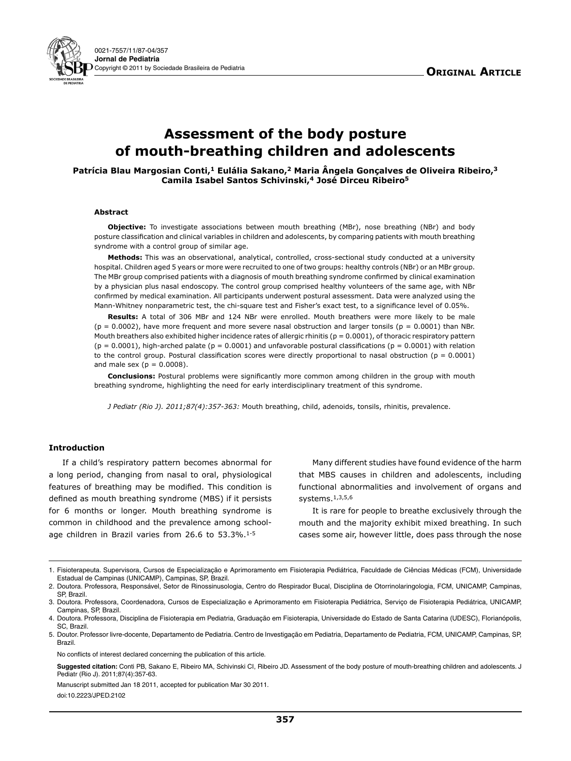

# **Assessment of the body posture of mouth-breathing children and adolescents**

**Patrícia Blau Margosian Conti,1 Eulália Sakano,2 Maria Ângela Gonçalves de Oliveira Ribeiro,3 Camila Isabel Santos Schivinski,4 José Dirceu Ribeiro5**

## **Abstract**

**Objective:** To investigate associations between mouth breathing (MBr), nose breathing (NBr) and body posture classification and clinical variables in children and adolescents, by comparing patients with mouth breathing syndrome with a control group of similar age.

**Methods:** This was an observational, analytical, controlled, cross-sectional study conducted at a university hospital. Children aged 5 years or more were recruited to one of two groups: healthy controls (NBr) or an MBr group. The MBr group comprised patients with a diagnosis of mouth breathing syndrome confirmed by clinical examination by a physician plus nasal endoscopy. The control group comprised healthy volunteers of the same age, with NBr confirmed by medical examination. All participants underwent postural assessment. Data were analyzed using the Mann-Whitney nonparametric test, the chi-square test and Fisher's exact test, to a significance level of 0.05%.

**Results:** A total of 306 MBr and 124 NBr were enrolled. Mouth breathers were more likely to be male  $(p = 0.0002)$ , have more frequent and more severe nasal obstruction and larger tonsils  $(p = 0.0001)$  than NBr. Mouth breathers also exhibited higher incidence rates of allergic rhinitis ( $p = 0.0001$ ), of thoracic respiratory pattern  $(p = 0.0001)$ , high-arched palate  $(p = 0.0001)$  and unfavorable postural classifications  $(p = 0.0001)$  with relation to the control group. Postural classification scores were directly proportional to nasal obstruction ( $p = 0.0001$ ) and male sex ( $p = 0.0008$ ).

**Conclusions:** Postural problems were significantly more common among children in the group with mouth breathing syndrome, highlighting the need for early interdisciplinary treatment of this syndrome.

*J Pediatr (Rio J). 2011;87(4):357-363:* Mouth breathing, child, adenoids, tonsils, rhinitis, prevalence.

### **Introduction**

If a child's respiratory pattern becomes abnormal for a long period, changing from nasal to oral, physiological features of breathing may be modified. This condition is defined as mouth breathing syndrome (MBS) if it persists for 6 months or longer. Mouth breathing syndrome is common in childhood and the prevalence among schoolage children in Brazil varies from 26.6 to 53.3%.1-5

Many different studies have found evidence of the harm that MBS causes in children and adolescents, including functional abnormalities and involvement of organs and systems.1,3,5,6

It is rare for people to breathe exclusively through the mouth and the majority exhibit mixed breathing. In such cases some air, however little, does pass through the nose

No conflicts of interest declared concerning the publication of this article.

Manuscript submitted Jan 18 2011, accepted for publication Mar 30 2011. doi:10.2223/JPED.2102

<sup>1.</sup> Fisioterapeuta. Supervisora, Cursos de Especialização e Aprimoramento em Fisioterapia Pediátrica, Faculdade de Ciências Médicas (FCM), Universidade Estadual de Campinas (UNICAMP), Campinas, SP, Brazil.

<sup>2.</sup> Doutora. Professora, Responsável, Setor de Rinossinusologia, Centro do Respirador Bucal, Disciplina de Otorrinolaringologia, FCM, UNICAMP, Campinas, SP, Brazil.

<sup>3.</sup> Doutora. Professora, Coordenadora, Cursos de Especialização e Aprimoramento em Fisioterapia Pediátrica, Serviço de Fisioterapia Pediátrica, UNICAMP, Campinas, SP, Brazil.

<sup>4.</sup> Doutora. Professora, Disciplina de Fisioterapia em Pediatria, Graduação em Fisioterapia, Universidade do Estado de Santa Catarina (UDESC), Florianópolis, SC, Brazil.

<sup>5.</sup> Doutor. Professor livre-docente, Departamento de Pediatria. Centro de Investigação em Pediatria, Departamento de Pediatria, FCM, UNICAMP, Campinas, SP, Brazil.

**Suggested citation:** Conti PB, Sakano E, Ribeiro MA, Schivinski CI, Ribeiro JD. Assessment of the body posture of mouth-breathing children and adolescents. J Pediatr (Rio J). 2011;87(4):357-63.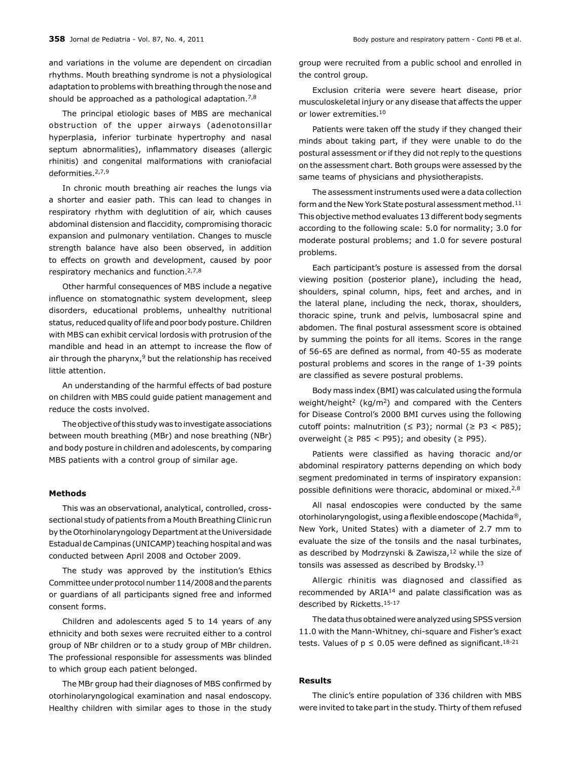and variations in the volume are dependent on circadian rhythms. Mouth breathing syndrome is not a physiological adaptation to problems with breathing through the nose and should be approached as a pathological adaptation.<sup>7,8</sup>

The principal etiologic bases of MBS are mechanical obstruction of the upper airways (adenotonsillar hyperplasia, inferior turbinate hypertrophy and nasal septum abnormalities), inflammatory diseases (allergic rhinitis) and congenital malformations with craniofacial deformities.2,7,9

In chronic mouth breathing air reaches the lungs via a shorter and easier path. This can lead to changes in respiratory rhythm with deglutition of air, which causes abdominal distension and flaccidity, compromising thoracic expansion and pulmonary ventilation. Changes to muscle strength balance have also been observed, in addition to effects on growth and development, caused by poor respiratory mechanics and function.2,7,8

Other harmful consequences of MBS include a negative influence on stomatognathic system development, sleep disorders, educational problems, unhealthy nutritional status, reduced quality of life and poor body posture. Children with MBS can exhibit cervical lordosis with protrusion of the mandible and head in an attempt to increase the flow of air through the pharynx, $9$  but the relationship has received little attention.

An understanding of the harmful effects of bad posture on children with MBS could guide patient management and reduce the costs involved.

The objective of this study was to investigate associations between mouth breathing (MBr) and nose breathing (NBr) and body posture in children and adolescents, by comparing MBS patients with a control group of similar age.

### **Methods**

This was an observational, analytical, controlled, crosssectional study of patients from a Mouth Breathing Clinic run by the Otorhinolaryngology Department at the Universidade Estadual de Campinas (UNICAMP) teaching hospital and was conducted between April 2008 and October 2009.

The study was approved by the institution's Ethics Committee under protocol number 114/2008 and the parents or guardians of all participants signed free and informed consent forms.

Children and adolescents aged 5 to 14 years of any ethnicity and both sexes were recruited either to a control group of NBr children or to a study group of MBr children. The professional responsible for assessments was blinded to which group each patient belonged.

The MBr group had their diagnoses of MBS confirmed by otorhinolaryngological examination and nasal endoscopy. Healthy children with similar ages to those in the study group were recruited from a public school and enrolled in the control group.

Exclusion criteria were severe heart disease, prior musculoskeletal injury or any disease that affects the upper or lower extremities.10

Patients were taken off the study if they changed their minds about taking part, if they were unable to do the postural assessment or if they did not reply to the questions on the assessment chart. Both groups were assessed by the same teams of physicians and physiotherapists.

The assessment instruments used were a data collection form and the New York State postural assessment method.<sup>11</sup> This objective method evaluates 13 different body segments according to the following scale: 5.0 for normality; 3.0 for moderate postural problems; and 1.0 for severe postural problems.

Each participant's posture is assessed from the dorsal viewing position (posterior plane), including the head, shoulders, spinal column, hips, feet and arches, and in the lateral plane, including the neck, thorax, shoulders, thoracic spine, trunk and pelvis, lumbosacral spine and abdomen. The final postural assessment score is obtained by summing the points for all items. Scores in the range of 56-65 are defined as normal, from 40-55 as moderate postural problems and scores in the range of 1-39 points are classified as severe postural problems.

Body mass index (BMI) was calculated using the formula weight/height<sup>2</sup> (kg/m<sup>2</sup>) and compared with the Centers for Disease Control's 2000 BMI curves using the following cutoff points: malnutrition ( $\leq$  P3); normal ( $\geq$  P3 < P85); overweight ( $\geq$  P85 < P95); and obesity ( $\geq$  P95).

Patients were classified as having thoracic and/or abdominal respiratory patterns depending on which body segment predominated in terms of inspiratory expansion: possible definitions were thoracic, abdominal or mixed.<sup>2,8</sup>

All nasal endoscopies were conducted by the same otorhinolaryngologist, using a flexible endoscope (Machida®, New York, United States) with a diameter of 2.7 mm to evaluate the size of the tonsils and the nasal turbinates, as described by Modrzynski & Zawisza,12 while the size of tonsils was assessed as described by Brodsky.13

Allergic rhinitis was diagnosed and classified as recommended by ARIA<sup>14</sup> and palate classification was as described by Ricketts.15-17

The data thus obtained were analyzed using SPSS version 11.0 with the Mann-Whitney, chi-square and Fisher's exact tests. Values of  $p \le 0.05$  were defined as significant.<sup>18-21</sup>

## **Results**

The clinic's entire population of 336 children with MBS were invited to take part in the study. Thirty of them refused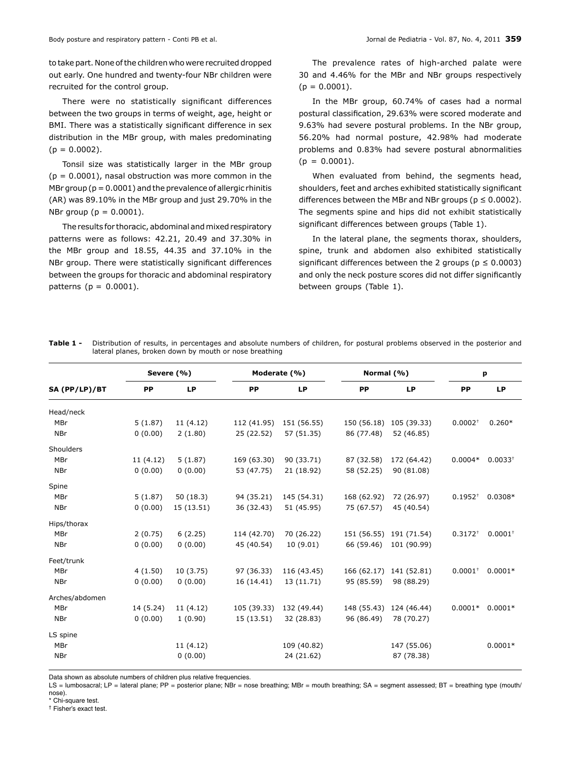to take part. None of the children who were recruited dropped out early. One hundred and twenty-four NBr children were recruited for the control group.

There were no statistically significant differences between the two groups in terms of weight, age, height or BMI. There was a statistically significant difference in sex distribution in the MBr group, with males predominating  $(p = 0.0002)$ .

Tonsil size was statistically larger in the MBr group  $(p = 0.0001)$ , nasal obstruction was more common in the MBr group ( $p = 0.0001$ ) and the prevalence of allergic rhinitis (AR) was 89.10% in the MBr group and just 29.70% in the NBr group ( $p = 0.0001$ ).

The results for thoracic, abdominal and mixed respiratory patterns were as follows: 42.21, 20.49 and 37.30% in the MBr group and 18.55, 44.35 and 37.10% in the NBr group. There were statistically significant differences between the groups for thoracic and abdominal respiratory patterns ( $p = 0.0001$ ).

The prevalence rates of high-arched palate were 30 and 4.46% for the MBr and NBr groups respectively  $(p = 0.0001).$ 

In the MBr group, 60.74% of cases had a normal postural classification, 29.63% were scored moderate and 9.63% had severe postural problems. In the NBr group, 56.20% had normal posture, 42.98% had moderate problems and 0.83% had severe postural abnormalities  $(p = 0.0001).$ 

When evaluated from behind, the segments head, shoulders, feet and arches exhibited statistically significant differences between the MBr and NBr groups ( $p \le 0.0002$ ). The segments spine and hips did not exhibit statistically significant differences between groups (Table 1).

In the lateral plane, the segments thorax, shoulders, spine, trunk and abdomen also exhibited statistically significant differences between the 2 groups ( $p \le 0.0003$ ) and only the neck posture scores did not differ significantly between groups (Table 1).

| SA (PP/LP)/BT  | Severe (%) |            | Moderate (%) |             | Normal (%)  |                         | p                     |                       |
|----------------|------------|------------|--------------|-------------|-------------|-------------------------|-----------------------|-----------------------|
|                | РP         | LP         | PP           | <b>LP</b>   | PP          | LP                      | PP                    | LP                    |
| Head/neck      |            |            |              |             |             |                         |                       |                       |
| MBr            | 5(1.87)    | 11(4.12)   | 112 (41.95)  | 151 (56.55) | 150 (56.18) | 105 (39.33)             | $0.0002^{+}$          | $0.260*$              |
| <b>NBr</b>     | 0(0.00)    | 2(1.80)    | 25 (22.52)   | 57 (51.35)  | 86 (77.48)  | 52 (46.85)              |                       |                       |
| Shoulders      |            |            |              |             |             |                         |                       |                       |
| MBr            | 11(4.12)   | 5(1.87)    | 169 (63.30)  | 90 (33.71)  | 87 (32.58)  | 172 (64.42)             | $0.0004*$             | $0.0033^{+}$          |
| <b>NBr</b>     | 0(0.00)    | 0(0.00)    | 53 (47.75)   | 21 (18.92)  | 58 (52.25)  | 90 (81.08)              |                       |                       |
| Spine          |            |            |              |             |             |                         |                       |                       |
| MBr            | 5(1.87)    | 50(18.3)   | 94 (35.21)   | 145 (54.31) | 168 (62.92) | 72 (26.97)              | $0.1952^{+}$          | $0.0308*$             |
| <b>NBr</b>     | 0(0.00)    | 15 (13.51) | 36 (32.43)   | 51 (45.95)  | 75 (67.57)  | 45 (40.54)              |                       |                       |
| Hips/thorax    |            |            |              |             |             |                         |                       |                       |
| MBr            | 2(0.75)    | 6(2.25)    | 114 (42.70)  | 70 (26.22)  |             | 151 (56.55) 191 (71.54) | $0.3172^{+}$          | $0.0001$ <sup>+</sup> |
| <b>NBr</b>     | 0(0.00)    | 0(0.00)    | 45 (40.54)   | 10(9.01)    | 66 (59.46)  | 101 (90.99)             |                       |                       |
| Feet/trunk     |            |            |              |             |             |                         |                       |                       |
| MBr            | 4(1.50)    | 10(3.75)   | 97 (36.33)   | 116 (43.45) |             | 166 (62.17) 141 (52.81) | $0.0001$ <sup>+</sup> | $0.0001*$             |
| <b>NBr</b>     | 0(0.00)    | 0(0.00)    | 16 (14.41)   | 13 (11.71)  | 95 (85.59)  | 98 (88.29)              |                       |                       |
| Arches/abdomen |            |            |              |             |             |                         |                       |                       |
| MBr            | 14 (5.24)  | 11(4.12)   | 105 (39.33)  | 132 (49.44) |             | 148 (55.43) 124 (46.44) | $0.0001*$             | $0.0001*$             |
| <b>NBr</b>     | 0(0.00)    | 1(0.90)    | 15 (13.51)   | 32 (28.83)  | 96 (86.49)  | 78 (70.27)              |                       |                       |
| LS spine       |            |            |              |             |             |                         |                       |                       |
| MBr            |            | 11(4.12)   |              | 109 (40.82) |             | 147 (55.06)             |                       | $0.0001*$             |
| <b>NBr</b>     |            | 0(0.00)    |              | 24 (21.62)  |             | 87 (78.38)              |                       |                       |

**Table 1 -** Distribution of results, in percentages and absolute numbers of children, for postural problems observed in the posterior and lateral planes, broken down by mouth or nose breathing

Data shown as absolute numbers of children plus relative frequencies.

LS = lumbosacral; LP = lateral plane; PP = posterior plane; NBr = nose breathing; MBr = mouth breathing; SA = segment assessed; BT = breathing type (mouth/ nose).

Chi-square test.

† Fisher's exact test.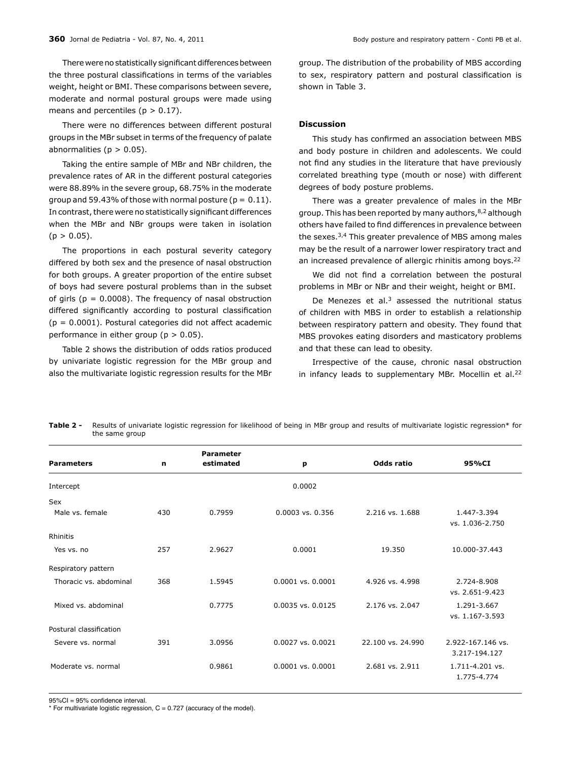There were no statistically significant differences between the three postural classifications in terms of the variables weight, height or BMI. These comparisons between severe, moderate and normal postural groups were made using means and percentiles ( $p > 0.17$ ).

There were no differences between different postural groups in the MBr subset in terms of the frequency of palate abnormalities ( $p > 0.05$ ).

Taking the entire sample of MBr and NBr children, the prevalence rates of AR in the different postural categories were 88.89% in the severe group, 68.75% in the moderate group and 59.43% of those with normal posture ( $p = 0.11$ ). In contrast, there were no statistically significant differences when the MBr and NBr groups were taken in isolation  $(p > 0.05)$ .

The proportions in each postural severity category differed by both sex and the presence of nasal obstruction for both groups. A greater proportion of the entire subset of boys had severe postural problems than in the subset of girls ( $p = 0.0008$ ). The frequency of nasal obstruction differed significantly according to postural classification (p = 0.0001). Postural categories did not affect academic performance in either group ( $p > 0.05$ ).

Table 2 shows the distribution of odds ratios produced by univariate logistic regression for the MBr group and also the multivariate logistic regression results for the MBr group. The distribution of the probability of MBS according to sex, respiratory pattern and postural classification is shown in Table 3.

## **Discussion**

This study has confirmed an association between MBS and body posture in children and adolescents. We could not find any studies in the literature that have previously correlated breathing type (mouth or nose) with different degrees of body posture problems.

There was a greater prevalence of males in the MBr group. This has been reported by many authors,8,2 although others have failed to find differences in prevalence between the sexes.3,4 This greater prevalence of MBS among males may be the result of a narrower lower respiratory tract and an increased prevalence of allergic rhinitis among boys.<sup>22</sup>

We did not find a correlation between the postural problems in MBr or NBr and their weight, height or BMI.

De Menezes et al.<sup>3</sup> assessed the nutritional status of children with MBS in order to establish a relationship between respiratory pattern and obesity. They found that MBS provokes eating disorders and masticatory problems and that these can lead to obesity.

Irrespective of the cause, chronic nasal obstruction in infancy leads to supplementary MBr. Mocellin et al.<sup>22</sup>

| <b>Parameters</b>       | $\mathbf n$ | <b>Parameter</b><br>estimated | p                     | Odds ratio        | 95%CI                              |
|-------------------------|-------------|-------------------------------|-----------------------|-------------------|------------------------------------|
| Intercept               |             |                               | 0.0002                |                   |                                    |
| Sex                     |             |                               |                       |                   |                                    |
| Male vs. female         | 430         | 0.7959                        | 0.0003 vs. 0.356      | 2.216 vs. 1.688   | 1.447-3.394<br>vs. 1.036-2.750     |
| Rhinitis                |             |                               |                       |                   |                                    |
| Yes vs. no              | 257         | 2.9627                        | 0.0001                | 19.350            | 10.000-37.443                      |
| Respiratory pattern     |             |                               |                       |                   |                                    |
| Thoracic vs. abdominal  | 368         | 1.5945                        | 0.0001 vs. 0.0001     | 4.926 vs. 4.998   | 2.724-8.908<br>vs. 2.651-9.423     |
| Mixed vs. abdominal     |             | 0.7775                        | $0.0035$ vs. $0.0125$ | 2.176 vs. 2.047   | 1.291-3.667<br>vs. 1.167-3.593     |
| Postural classification |             |                               |                       |                   |                                    |
| Severe vs. normal       | 391         | 3.0956                        | 0.0027 vs. 0.0021     | 22.100 vs. 24.990 | 2.922-167.146 vs.<br>3.217-194.127 |
| Moderate vs. normal     |             | 0.9861                        | 0.0001 vs. 0.0001     | 2.681 vs. 2.911   | $1.711 - 4.201$ vs.<br>1.775-4.774 |
|                         |             |                               |                       |                   |                                    |

**Table 2 -** Results of univariate logistic regression for likelihood of being in MBr group and results of multivariate logistic regression\* for the same group

95%CI = 95% confidence interval.

 $*$  For multivariate logistic regression,  $C = 0.727$  (accuracy of the model).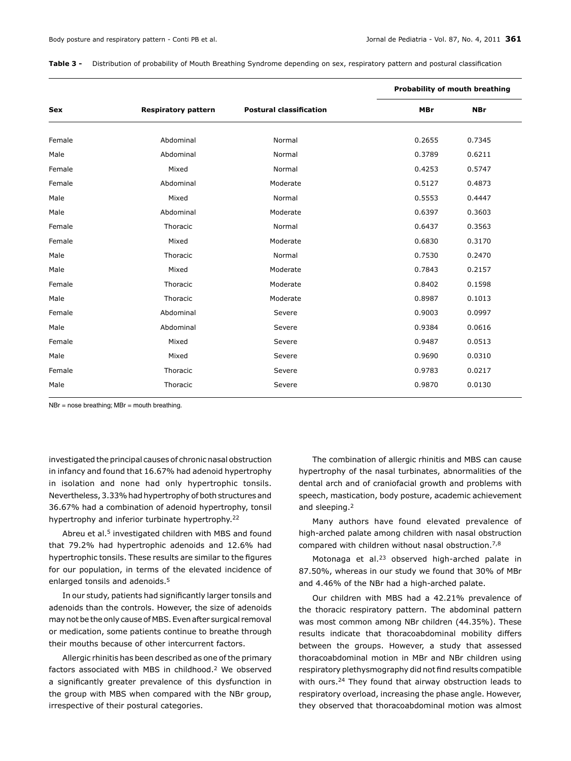| Sex    |                            |                                | <b>Probability of mouth breathing</b> |            |  |
|--------|----------------------------|--------------------------------|---------------------------------------|------------|--|
|        | <b>Respiratory pattern</b> | <b>Postural classification</b> | <b>MBr</b>                            | <b>NBr</b> |  |
| Female | Abdominal                  | Normal                         | 0.2655                                | 0.7345     |  |
| Male   | Abdominal                  | Normal                         | 0.3789                                | 0.6211     |  |
| Female | Mixed                      | Normal                         | 0.4253                                | 0.5747     |  |
| Female | Abdominal                  | Moderate                       | 0.5127                                | 0.4873     |  |
| Male   | Mixed                      | Normal                         | 0.5553                                | 0.4447     |  |
| Male   | Abdominal                  | Moderate                       | 0.6397                                | 0.3603     |  |
| Female | Thoracic                   | Normal                         | 0.6437                                | 0.3563     |  |
| Female | Mixed                      | Moderate                       | 0.6830                                | 0.3170     |  |
| Male   | Thoracic                   | Normal                         | 0.7530                                | 0.2470     |  |
| Male   | Mixed                      | Moderate                       | 0.7843                                | 0.2157     |  |
| Female | Thoracic                   | Moderate                       | 0.8402                                | 0.1598     |  |
| Male   | Thoracic                   | Moderate                       | 0.8987                                | 0.1013     |  |
| Female | Abdominal                  | Severe                         | 0.9003                                | 0.0997     |  |
| Male   | Abdominal                  | Severe                         | 0.9384                                | 0.0616     |  |
| Female | Mixed                      | Severe                         | 0.9487                                | 0.0513     |  |
| Male   | Mixed                      | Severe                         | 0.9690                                | 0.0310     |  |
| Female | Thoracic                   | Severe                         | 0.9783                                | 0.0217     |  |
| Male   | Thoracic                   | Severe                         | 0.9870                                | 0.0130     |  |
|        |                            |                                |                                       |            |  |

**Table 3 -** Distribution of probability of Mouth Breathing Syndrome depending on sex, respiratory pattern and postural classification

NBr = nose breathing; MBr = mouth breathing.

investigated the principal causes of chronic nasal obstruction in infancy and found that 16.67% had adenoid hypertrophy in isolation and none had only hypertrophic tonsils. Nevertheless, 3.33% had hypertrophy of both structures and 36.67% had a combination of adenoid hypertrophy, tonsil hypertrophy and inferior turbinate hypertrophy.<sup>22</sup>

Abreu et al.<sup>5</sup> investigated children with MBS and found that 79.2% had hypertrophic adenoids and 12.6% had hypertrophic tonsils. These results are similar to the figures for our population, in terms of the elevated incidence of enlarged tonsils and adenoids.<sup>5</sup>

In our study, patients had significantly larger tonsils and adenoids than the controls. However, the size of adenoids may not be the only cause of MBS. Even after surgical removal or medication, some patients continue to breathe through their mouths because of other intercurrent factors.

Allergic rhinitis has been described as one of the primary factors associated with MBS in childhood.2 We observed a significantly greater prevalence of this dysfunction in the group with MBS when compared with the NBr group, irrespective of their postural categories.

The combination of allergic rhinitis and MBS can cause hypertrophy of the nasal turbinates, abnormalities of the dental arch and of craniofacial growth and problems with speech, mastication, body posture, academic achievement and sleeping.<sup>2</sup>

Many authors have found elevated prevalence of high-arched palate among children with nasal obstruction compared with children without nasal obstruction.<sup>7,8</sup>

Motonaga et al.23 observed high-arched palate in 87.50%, whereas in our study we found that 30% of MBr and 4.46% of the NBr had a high-arched palate.

Our children with MBS had a 42.21% prevalence of the thoracic respiratory pattern. The abdominal pattern was most common among NBr children (44.35%). These results indicate that thoracoabdominal mobility differs between the groups. However, a study that assessed thoracoabdominal motion in MBr and NBr children using respiratory plethysmography did not find results compatible with ours.<sup>24</sup> They found that airway obstruction leads to respiratory overload, increasing the phase angle. However, they observed that thoracoabdominal motion was almost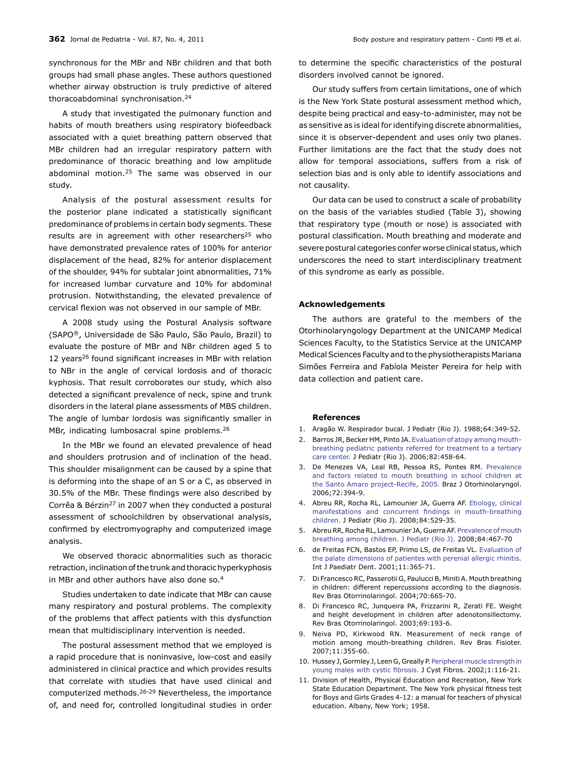synchronous for the MBr and NBr children and that both groups had small phase angles. These authors questioned whether airway obstruction is truly predictive of altered thoracoabdominal synchronisation.<sup>24</sup>

A study that investigated the pulmonary function and habits of mouth breathers using respiratory biofeedback associated with a quiet breathing pattern observed that MBr children had an irregular respiratory pattern with predominance of thoracic breathing and low amplitude abdominal motion.<sup>25</sup> The same was observed in our study.

Analysis of the postural assessment results for the posterior plane indicated a statistically significant predominance of problems in certain body segments. These results are in agreement with other researchers<sup>25</sup> who have demonstrated prevalence rates of 100% for anterior displacement of the head, 82% for anterior displacement of the shoulder, 94% for subtalar joint abnormalities, 71% for increased lumbar curvature and 10% for abdominal protrusion. Notwithstanding, the elevated prevalence of cervical flexion was not observed in our sample of MBr.

A 2008 study using the Postural Analysis software (SAPO®, Universidade de São Paulo, São Paulo, Brazil) to evaluate the posture of MBr and NBr children aged 5 to 12 years<sup>26</sup> found significant increases in MBr with relation to NBr in the angle of cervical lordosis and of thoracic kyphosis. That result corroborates our study, which also detected a significant prevalence of neck, spine and trunk disorders in the lateral plane assessments of MBS children. The angle of lumbar lordosis was significantly smaller in MBr, indicating lumbosacral spine problems.<sup>26</sup>

In the MBr we found an elevated prevalence of head and shoulders protrusion and of inclination of the head. This shoulder misalignment can be caused by a spine that is deforming into the shape of an S or a C, as observed in 30.5% of the MBr. These findings were also described by Corrêa & Bérzin27 in 2007 when they conducted a postural assessment of schoolchildren by observational analysis, confirmed by electromyography and computerized image analysis.

We observed thoracic abnormalities such as thoracic retraction, inclination of the trunk and thoracic hyperkyphosis in MBr and other authors have also done so.<sup>4</sup>

Studies undertaken to date indicate that MBr can cause many respiratory and postural problems. The complexity of the problems that affect patients with this dysfunction mean that multidisciplinary intervention is needed.

The postural assessment method that we employed is a rapid procedure that is noninvasive, low-cost and easily administered in clinical practice and which provides results that correlate with studies that have used clinical and computerized methods.26-29 Nevertheless, the importance of, and need for, controlled longitudinal studies in order to determine the specific characteristics of the postural disorders involved cannot be ignored.

Our study suffers from certain limitations, one of which is the New York State postural assessment method which, despite being practical and easy-to-administer, may not be as sensitive as is ideal for identifying discrete abnormalities, since it is observer-dependent and uses only two planes. Further limitations are the fact that the study does not allow for temporal associations, suffers from a risk of selection bias and is only able to identify associations and not causality.

Our data can be used to construct a scale of probability on the basis of the variables studied (Table 3), showing that respiratory type (mouth or nose) is associated with postural classification. Mouth breathing and moderate and severe postural categories confer worse clinical status, which underscores the need to start interdisciplinary treatment of this syndrome as early as possible.

## **Acknowledgements**

The authors are grateful to the members of the Otorhinolaryngology Department at the UNICAMP Medical Sciences Faculty, to the Statistics Service at the UNICAMP Medical Sciences Faculty and to the physiotherapists Mariana Simões Ferreira and Fabíola Meister Pereira for help with data collection and patient care.

#### **References**

- 1. Aragão W. Respirador bucal. J Pediatr (Rio J). 1988;64:349-52.
- 2. Barros JR, Becker HM, Pinto JA. [Evaluation of atopy among mouth](http://www.ncbi.nlm.nih.gov/pubmed/17171205)[breathing pediatric patients referred for treatment to a tertiary](http://www.ncbi.nlm.nih.gov/pubmed/17171205) [care center.](http://www.ncbi.nlm.nih.gov/pubmed/17171205) J Pediatr (Rio J). 2006;82:458-64.
- 3. De Menezes VA, Leal RB, Pessoa RS, Pontes RM. [Prevalence](http://www.ncbi.nlm.nih.gov/pubmed/17119778) [and factors related to mouth breathing in school children at](http://www.ncbi.nlm.nih.gov/pubmed/17119778) [the Santo Amaro project-Recife, 2005](http://www.ncbi.nlm.nih.gov/pubmed/17119778). Braz J Otorhinolaryngol. 2006;72:394‑9.
- 4. Abreu RR, Rocha RL, Lamounier JA, Guerra AF. [Etiology, clinical](http://www.ncbi.nlm.nih.gov/pubmed/19060979) [manifestations and concurrent findings in mouth-breathing](http://www.ncbi.nlm.nih.gov/pubmed/19060979) [children.](http://www.ncbi.nlm.nih.gov/pubmed/19060979) J Pediatr (Rio J). 2008;84:529-35.
- 5. Abreu RR, Rocha RL, Lamounier JA, Guerra AF. [Prevalence of mouth](http://www.ncbi.nlm.nih.gov/pubmed/18830512) [breathing among children. J Pediatr \(Rio J\)](http://www.ncbi.nlm.nih.gov/pubmed/18830512). 2008;84:467-70
- 6. de Freitas FCN, Bastos EP, Primo LS, de Freitas VL. [Evaluation of](http://www.ncbi.nlm.nih.gov/pubmed/11572268) [the palate dimensions of patientes with perenial allergic rhinitis.](http://www.ncbi.nlm.nih.gov/pubmed/11572268) Int J Paediatr Dent. 2001;11:365-71.
- 7. Di Francesco RC, Passerotii G, Paulucci B, Miniti A. Mouth breathing in children: different repercussions according to the diagnosis. Rev Bras Otorrinolaringol. 2004;70:665-70.
- 8. Di Francesco RC, Junqueira PA, Frizzarini R, Zerati FE. Weight and height development in children after adenotonsillectomy. Rev Bras Otorrinolaringol. 2003;69:193-6.
- 9. Neiva PD, Kirkwood RN. Measurement of neck range of motion among mouth-breathing children. Rev Bras Fisioter. 2007;11:355‑60.
- 10. Hussey J, Gormley J, Leen G, Greally P. [Peripheral muscle strength in](http://www.ncbi.nlm.nih.gov/pubmed/15463817) [young males with cystic fibrosis](http://www.ncbi.nlm.nih.gov/pubmed/15463817). J Cyst Fibros. 2002;1:116-21.
- 11. Division of Health, Physical Education and Recreation, New York State Education Department. The New York physical fitness test for Boys and Girls Grades 4-12: a manual for teachers of physical education. Albany, New York; 1958.